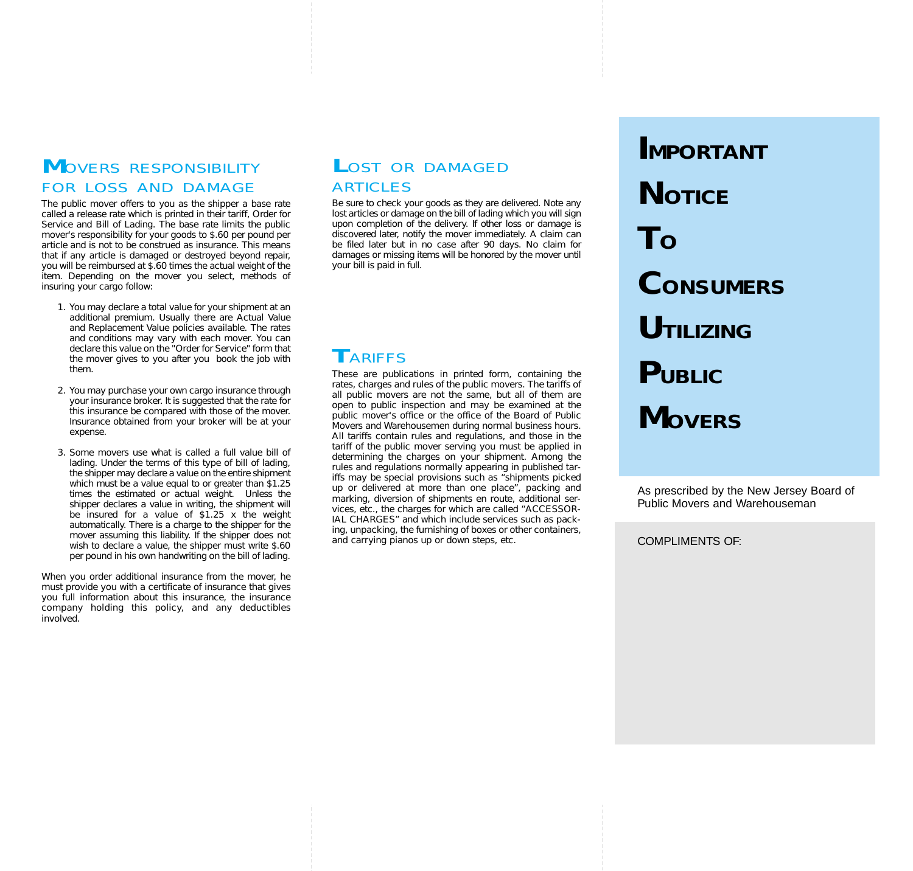### **M**OVERS RESPONSIBILITY FOR LOSS AND DAMAGE

The public mover offers to you as the shipper a base rate called a release rate which is printed in their tariff, Order for Service and Bill of Lading. The base rate limits the public mover's responsibility for your goods to \$.60 per pound per article and is not to be construed as insurance. This means that if any article is damaged or destroyed beyond repair, you will be reimbursed at \$.60 times the actual weight of the item. Depending on the mover you select, methods of insuring your cargo follow:

- 1. You may declare a total value for your shipment at an additional premium. Usually there are Actual Value and Replacement Value policies available. The rates and conditions may vary with each mover. You can declare this value on the "Order for Service" form that the mover gives to you after you book the job with them.
- 2. You may purchase your own cargo insurance through your insurance broker. It is suggested that the rate for this insurance be compared with those of the mover. Insurance obtained from your broker will be at your expense.
- 3. Some movers use what is called a full value bill of lading. Under the terms of this type of bill of lading, the shipper may declare a value on the entire shipment which must be a value equal to or greater than \$1.25 times the estimated or actual weight. Unless the shipper declares a value in writing, the shipment will be insured for a value of \$1.25 x the weight automatically. There is a charge to the shipper for the mover assuming this liability. If the shipper does not wish to declare a value, the shipper must write \$.60 per pound in his own handwriting on the bill of lading.

When you order additional insurance from the mover, he must provide you with a certificate of insurance that gives you full information about this insurance, the insurance company holding this policy, and any deductibles involved.

### LOST OR DAMAGED ARTICLES

Be sure to check your goods as they are delivered. Note any lost articles or damage on the bill of lading which you will sign upon completion of the delivery. If other loss or damage is discovered later, notify the mover immediately. A claim can be filed later but in no case after 90 days. No claim for damages or missing items will be honored by the mover until your bill is paid in full.

# **T**ARIFFS

These are publications in printed form, containing the rates, charges and rules of the public movers. The tariffs of all public movers are not the same, but all of them are open to public inspection and may be examined at the public mover's office or the office of the Board of Public Movers and Warehousemen during normal business hours. All tariffs contain rules and regulations, and those in the tariff of the public mover serving you must be applied in determining the charges on your shipment. Among the rules and regulations normally appearing in published tariffs may be special provisions such as "shipments picked up or delivered at more than one place", packing and marking, diversion of shipments en route, additional services, etc., the charges for which are called "ACCESSOR-IAL CHARGES" and which include services such as packing, unpacking, the furnishing of boxes or other containers, and carrying pianos up or down steps, etc.

**IMPORTANT NOTICE TO CONSUMERS UTILIZING PUBLIC MOVERS**

As prescribed by the New Jersey Board of Public Movers and Warehouseman

COMPLIMENTS OF: